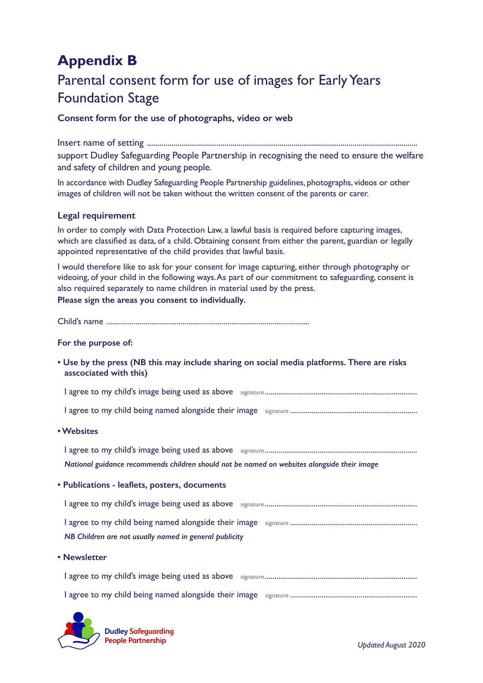# **Appendix B**

# Parental consent form for use of images for Early Years Foundation Stage

## **Consent form for the use of photographs, video or web**

Insert name of setting ..................................................................................................................................... support Dudley Safeguarding People Partnership in recognising the need to ensure the welfare and safety of children and young people.

In accordance with Dudley Safeguarding People Partnership guidelines, photographs, videos or other images of children will not be taken without the written consent of the parents or carer.

### **Legal requirement**

In order to comply with Data Protection Law, a lawful basis is required before capturing images, which are classified as data, of a child. Obtaining consent from either the parent, guardian or legally appointed representative of the child provides that lawful basis.

I would therefore like to ask for your consent for image capturing, either through photography or videoing, of your child in the following ways. As part of our commitment to safeguarding, consent is also required separately to name children in material used by the press. **Please sign the areas you consent to individually.**

Child's name ........................................................................................................

#### **For the purpose of:**

**• Use by the press (NB this may include sharing on social media platforms. There are risks asscociated with this)**

I agree to my child's image being used as above signature..............................................................................

I agree to my child being named alongside their image signature .................................................................

**• Websites**

I agree to my child's image being used as above signature.............................................................................. *National guidance recommends children should not be named on websites alongside their image*

**• Publications - leaflets, posters, documents**

I agree to my child's image being used as above signature.............................................................................. I agree to my child being named alongside their image signature .................................................................

*NB Children are not usually named in general publicity*

**• Newsletter** 



**Dudley Safeguarding People Partnership** *Updated August 2020*